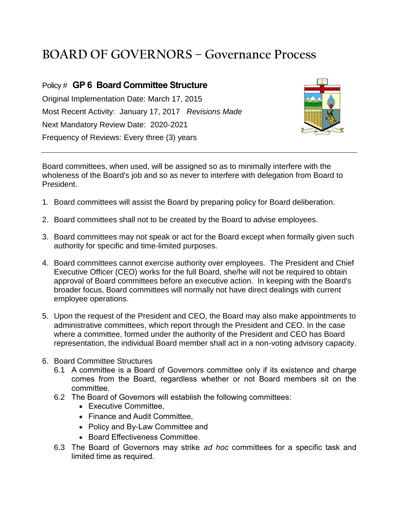## **BOARD OF GOVERNORS – Governance Process**

## Policy # **GP 6 Board Committee Structure** Original Implementation Date: March 17, 2015 Most Recent Activity: January 17, 2017 *Revisions Made* Next Mandatory Review Date: 2020-2021 Frequency of Reviews: Every three (3) years



Board committees, when used, will be assigned so as to minimally interfere with the wholeness of the Board's job and so as never to interfere with delegation from Board to President.

- 1. Board committees will assist the Board by preparing policy for Board deliberation.
- 2. Board committees shall not to be created by the Board to advise employees.
- 3. Board committees may not speak or act for the Board except when formally given such authority for specific and time-limited purposes.
- 4. Board committees cannot exercise authority over employees. The President and Chief Executive Officer (CEO) works for the full Board, she/he will not be required to obtain approval of Board committees before an executive action. In keeping with the Board's broader focus, Board committees will normally not have direct dealings with current employee operations.
- 5. Upon the request of the President and CEO, the Board may also make appointments to administrative committees, which report through the President and CEO. In the case where a committee, formed under the authority of the President and CEO has Board representation, the individual Board member shall act in a non-voting advisory capacity.
- 6. Board Committee Structures
	- 6.1 A committee is a Board of Governors committee only if its existence and charge comes from the Board, regardless whether or not Board members sit on the committee.
	- 6.2 The Board of Governors will establish the following committees:
		- Executive Committee.
		- Finance and Audit Committee,
		- Policy and By-Law Committee and
		- Board Effectiveness Committee.
	- 6.3 The Board of Governors may strike *ad hoc* committees for a specific task and limited time as required.